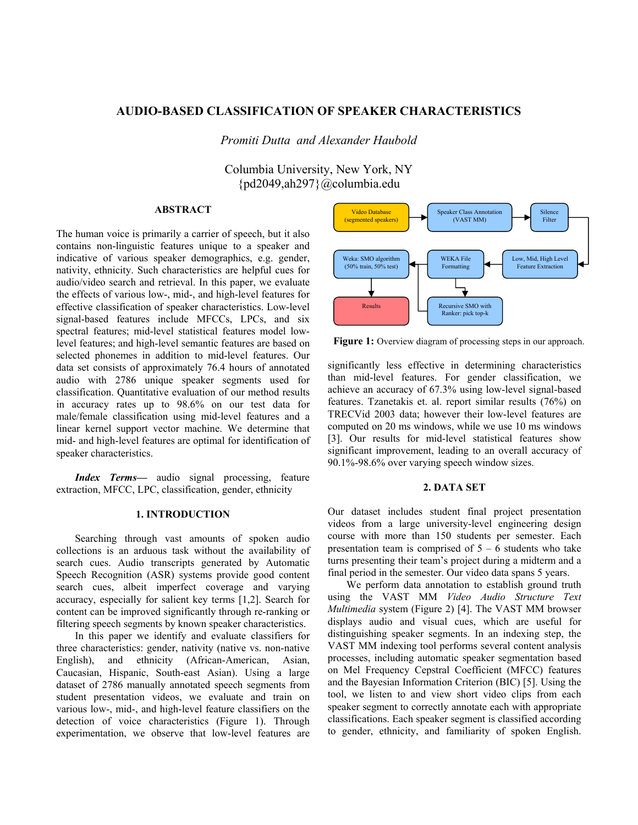# **AUDIO-BASED CLASSIFICATION OF SPEAKER CHARACTERISTICS**

*Promiti Dutta and Alexander Haubold* 

Columbia University, New York, NY {pd2049,ah297}@columbia.edu

### **ABSTRACT**

The human voice is primarily a carrier of speech, but it also contains non-linguistic features unique to a speaker and indicative of various speaker demographics, e.g. gender, nativity, ethnicity. Such characteristics are helpful cues for audio/video search and retrieval. In this paper, we evaluate the effects of various low-, mid-, and high-level features for effective classification of speaker characteristics. Low-level signal-based features include MFCCs, LPCs, and six spectral features; mid-level statistical features model lowlevel features; and high-level semantic features are based on selected phonemes in addition to mid-level features. Our data set consists of approximately 76.4 hours of annotated audio with 2786 unique speaker segments used for classification. Quantitative evaluation of our method results in accuracy rates up to 98.6% on our test data for male/female classification using mid-level features and a linear kernel support vector machine. We determine that mid- and high-level features are optimal for identification of speaker characteristics.

*Index Terms—* audio signal processing, feature extraction, MFCC, LPC, classification, gender, ethnicity

#### **1. INTRODUCTION**

Searching through vast amounts of spoken audio collections is an arduous task without the availability of search cues. Audio transcripts generated by Automatic Speech Recognition (ASR) systems provide good content search cues, albeit imperfect coverage and varying accuracy, especially for salient key terms [1,2]. Search for content can be improved significantly through re-ranking or filtering speech segments by known speaker characteristics.

In this paper we identify and evaluate classifiers for three characteristics: gender, nativity (native vs. non-native English), and ethnicity (African-American, Asian, Caucasian, Hispanic, South-east Asian). Using a large dataset of 2786 manually annotated speech segments from student presentation videos, we evaluate and train on various low-, mid-, and high-level feature classifiers on the detection of voice characteristics (Figure 1). Through experimentation, we observe that low-level features are



Figure 1: Overview diagram of processing steps in our approach.

significantly less effective in determining characteristics than mid-level features. For gender classification, we achieve an accuracy of 67.3% using low-level signal-based features. Tzanetakis et. al. report similar results (76%) on TRECVid 2003 data; however their low-level features are computed on 20 ms windows, while we use 10 ms windows [3]. Our results for mid-level statistical features show significant improvement, leading to an overall accuracy of 90.1%-98.6% over varying speech window sizes.

### **2. DATA SET**

Our dataset includes student final project presentation videos from a large university-level engineering design course with more than 150 students per semester. Each presentation team is comprised of  $5 - 6$  students who take turns presenting their team's project during a midterm and a final period in the semester. Our video data spans 5 years.

We perform data annotation to establish ground truth using the VAST MM *Video Audio Structure Text Multimedia* system (Figure 2) [4]. The VAST MM browser displays audio and visual cues, which are useful for distinguishing speaker segments. In an indexing step, the VAST MM indexing tool performs several content analysis processes, including automatic speaker segmentation based on Mel Frequency Cepstral Coefficient (MFCC) features and the Bayesian Information Criterion (BIC) [5]. Using the tool, we listen to and view short video clips from each speaker segment to correctly annotate each with appropriate classifications. Each speaker segment is classified according to gender, ethnicity, and familiarity of spoken English.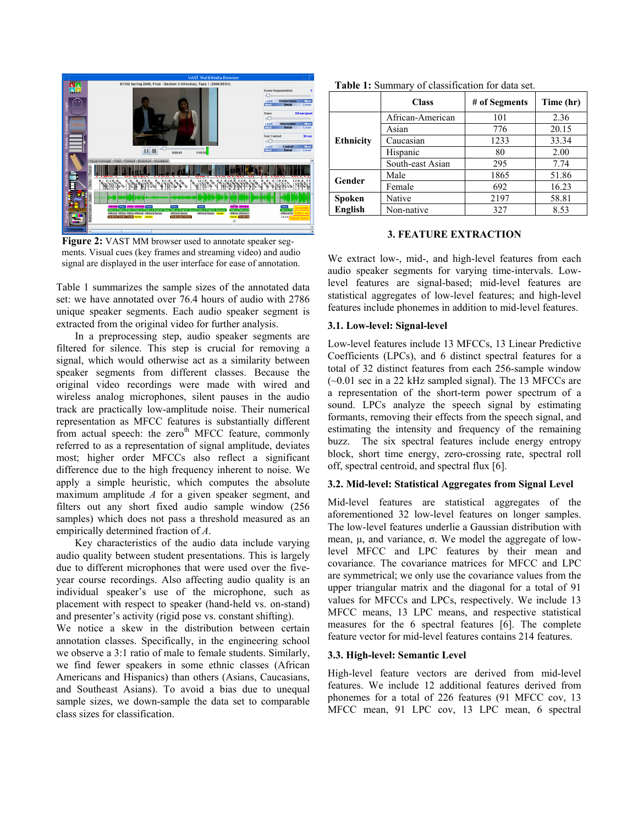

Figure 2: VAST MM browser used to annotate speaker segments. Visual cues (key frames and streaming video) and audio signal are displayed in the user interface for ease of annotation.

Table 1 summarizes the sample sizes of the annotated data set: we have annotated over 76.4 hours of audio with 2786 unique speaker segments. Each audio speaker segment is extracted from the original video for further analysis.

In a preprocessing step, audio speaker segments are filtered for silence. This step is crucial for removing a signal, which would otherwise act as a similarity between speaker segments from different classes. Because the original video recordings were made with wired and wireless analog microphones, silent pauses in the audio track are practically low-amplitude noise. Their numerical representation as MFCC features is substantially different from actual speech: the zero<sup>th</sup> MFCC feature, commonly referred to as a representation of signal amplitude, deviates most; higher order MFCCs also reflect a significant difference due to the high frequency inherent to noise. We apply a simple heuristic, which computes the absolute maximum amplitude *A* for a given speaker segment, and filters out any short fixed audio sample window (256 samples) which does not pass a threshold measured as an empirically determined fraction of *A*.

Key characteristics of the audio data include varying audio quality between student presentations. This is largely due to different microphones that were used over the fiveyear course recordings. Also affecting audio quality is an individual speaker's use of the microphone, such as placement with respect to speaker (hand-held vs. on-stand) and presenter's activity (rigid pose vs. constant shifting).

We notice a skew in the distribution between certain annotation classes. Specifically, in the engineering school we observe a 3:1 ratio of male to female students. Similarly, we find fewer speakers in some ethnic classes (African Americans and Hispanics) than others (Asians, Caucasians, and Southeast Asians). To avoid a bias due to unequal sample sizes, we down-sample the data set to comparable class sizes for classification.

|                  | <b>Class</b>     | # of Segments | Time (hr) |
|------------------|------------------|---------------|-----------|
| <b>Ethnicity</b> | African-American | 101           | 2.36      |
|                  | Asian            | 776           | 20.15     |
|                  | Caucasian        | 1233          | 33.34     |
|                  | Hispanic         | 80            | 2.00      |
|                  | South-east Asian | 295           | 7.74      |
| Gender           | Male             | 1865          | 51.86     |
|                  | Female           | 692           | 16.23     |
| Spoken           | Native           | 2197          | 58.81     |
| English          | Non-native       | 327           | 8.53      |

**Table 1:** Summary of classification for data set.

### **3. FEATURE EXTRACTION**

We extract low-, mid-, and high-level features from each audio speaker segments for varying time-intervals. Lowlevel features are signal-based; mid-level features are statistical aggregates of low-level features; and high-level features include phonemes in addition to mid-level features.

# **3.1. Low-level: Signal-level**

Low-level features include 13 MFCCs, 13 Linear Predictive Coefficients (LPCs), and 6 distinct spectral features for a total of 32 distinct features from each 256-sample window  $(-0.01 \text{ sec in a } 22 \text{ kHz sampled signal})$ . The 13 MFCCs are a representation of the short-term power spectrum of a sound. LPCs analyze the speech signal by estimating formants, removing their effects from the speech signal, and estimating the intensity and frequency of the remaining buzz. The six spectral features include energy entropy block, short time energy, zero-crossing rate, spectral roll off, spectral centroid, and spectral flux [6].

# **3.2. Mid-level: Statistical Aggregates from Signal Level**

Mid-level features are statistical aggregates of the aforementioned 32 low-level features on longer samples. The low-level features underlie a Gaussian distribution with mean,  $\mu$ , and variance,  $\sigma$ . We model the aggregate of lowlevel MFCC and LPC features by their mean and covariance. The covariance matrices for MFCC and LPC are symmetrical; we only use the covariance values from the upper triangular matrix and the diagonal for a total of 91 values for MFCCs and LPCs, respectively. We include 13 MFCC means, 13 LPC means, and respective statistical measures for the 6 spectral features [6]. The complete feature vector for mid-level features contains 214 features.

### **3.3. High-level: Semantic Level**

High-level feature vectors are derived from mid-level features. We include 12 additional features derived from phonemes for a total of 226 features (91 MFCC cov, 13 MFCC mean, 91 LPC cov, 13 LPC mean, 6 spectral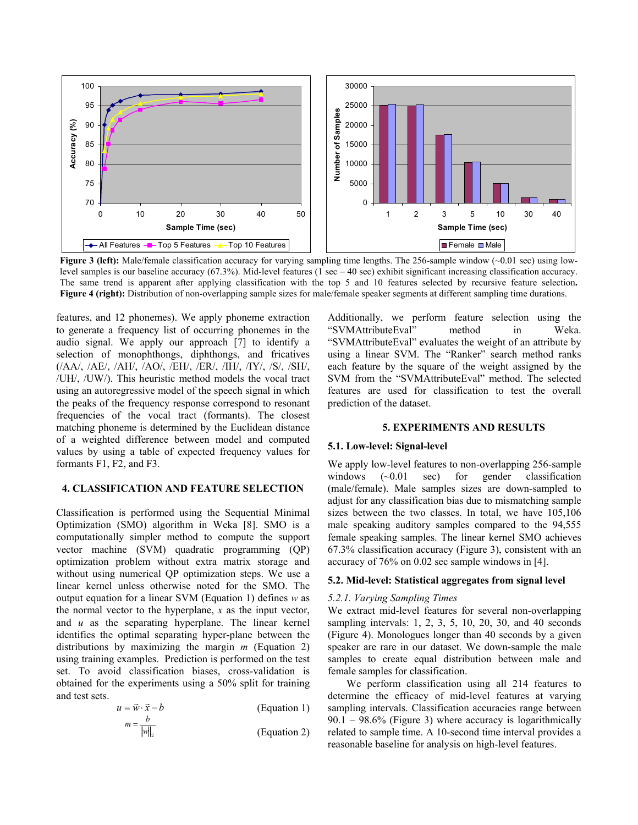

**Figure 3 (left):** Male/female classification accuracy for varying sampling time lengths. The 256-sample window (~0.01 sec) using lowlevel samples is our baseline accuracy (67.3%). Mid-level features (1 sec – 40 sec) exhibit significant increasing classification accuracy. The same trend is apparent after applying classification with the top 5 and 10 features selected by recursive feature selection**. Figure 4 (right):** Distribution of non-overlapping sample sizes for male/female speaker segments at different sampling time durations.

features, and 12 phonemes). We apply phoneme extraction to generate a frequency list of occurring phonemes in the audio signal. We apply our approach [7] to identify a selection of monophthongs, diphthongs, and fricatives (/AA/, /AE/, /AH/, /AO/, /EH/, /ER/, /IH/, /IY/, /S/, /SH/, /UH/, /UW/). This heuristic method models the vocal tract using an autoregressive model of the speech signal in which the peaks of the frequency response correspond to resonant frequencies of the vocal tract (formants). The closest matching phoneme is determined by the Euclidean distance of a weighted difference between model and computed values by using a table of expected frequency values for formants F1, F2, and F3.

# **4. CLASSIFICATION AND FEATURE SELECTION**

Classification is performed using the Sequential Minimal Optimization (SMO) algorithm in Weka [8]. SMO is a computationally simpler method to compute the support vector machine (SVM) quadratic programming (QP) optimization problem without extra matrix storage and without using numerical QP optimization steps. We use a linear kernel unless otherwise noted for the SMO. The output equation for a linear SVM (Equation 1) defines *w* as the normal vector to the hyperplane, *x* as the input vector, and *u* as the separating hyperplane. The linear kernel identifies the optimal separating hyper-plane between the distributions by maximizing the margin *m* (Equation 2) using training examples. Prediction is performed on the test set. To avoid classification biases, cross-validation is obtained for the experiments using a 50% split for training and test sets.

$$
u = \vec{w} \cdot \vec{x} - b \tag{Equation 1}
$$

$$
m = \frac{b}{\|w\|_2}
$$
 (Equation 2)

Additionally, we perform feature selection using the "SVMAttributeEval" method in Weka. "SVMAttributeEval" evaluates the weight of an attribute by using a linear SVM. The "Ranker" search method ranks each feature by the square of the weight assigned by the SVM from the "SVMAttributeEval" method. The selected features are used for classification to test the overall prediction of the dataset.

#### **5. EXPERIMENTS AND RESULTS**

### **5.1. Low-level: Signal-level**

We apply low-level features to non-overlapping 256-sample windows (~0.01 sec) for gender classification (male/female). Male samples sizes are down-sampled to adjust for any classification bias due to mismatching sample sizes between the two classes. In total, we have 105,106 male speaking auditory samples compared to the 94,555 female speaking samples. The linear kernel SMO achieves 67.3% classification accuracy (Figure 3), consistent with an accuracy of 76% on 0.02 sec sample windows in [4].

#### **5.2. Mid-level: Statistical aggregates from signal level**

#### *5.2.1. Varying Sampling Times*

We extract mid-level features for several non-overlapping sampling intervals: 1, 2, 3, 5, 10, 20, 30, and 40 seconds (Figure 4). Monologues longer than 40 seconds by a given speaker are rare in our dataset. We down-sample the male samples to create equal distribution between male and female samples for classification.

We perform classification using all 214 features to determine the efficacy of mid-level features at varying sampling intervals. Classification accuracies range between  $90.1 - 98.6\%$  (Figure 3) where accuracy is logarithmically related to sample time. A 10-second time interval provides a reasonable baseline for analysis on high-level features.